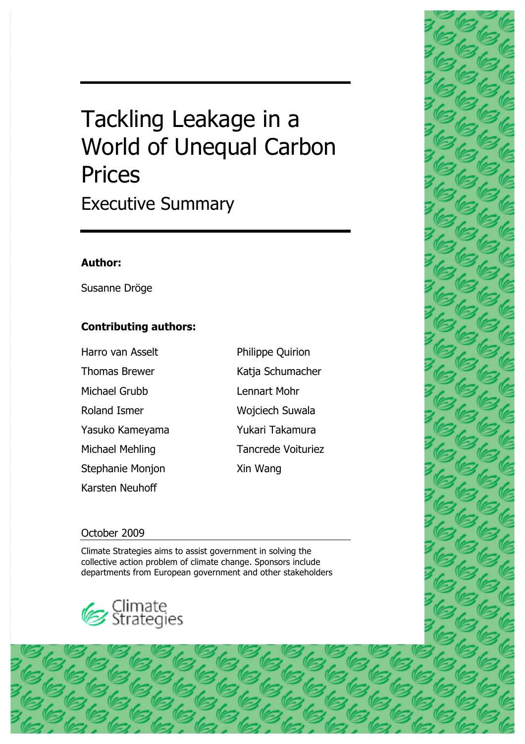# Tackling Leakage in a World of Unequal Carbon **Prices** Executive Summary

#### **Author:**

Susanne Dröge

#### **Contributing authors:**

| Harro van Asselt     |
|----------------------|
| <b>Thomas Brewer</b> |
| Michael Grubb        |
| <b>Roland Ismer</b>  |
| Yasuko Kameyama      |
| Michael Mehling      |
| Stephanie Monjon     |
| Karsten Neuhoff      |

## Katja Schumacher Lennart Mohr Wojciech Suwala Yukari Takamura Tancrede Voituriez Xin Wang

Philippe Quirion

1

#### October 2009

Climate Strategies aims to assist government in solving the collective action problem of climate change. Sponsors include departments from European government and other stakeholders



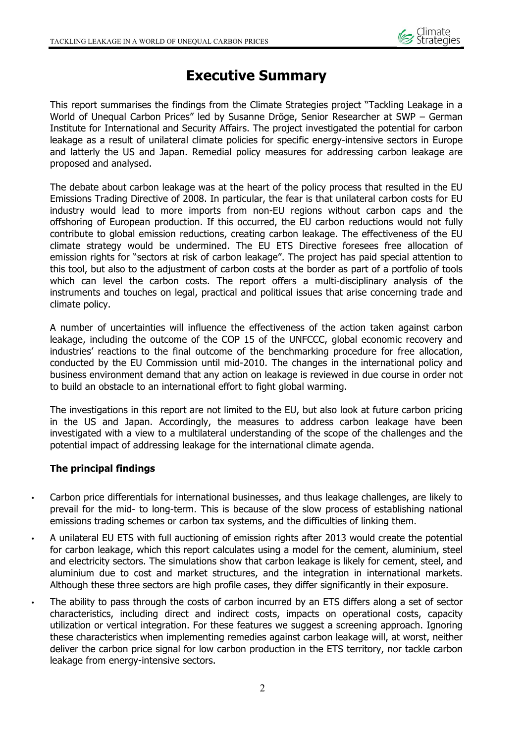

### **Executive Summary**

This report summarises the findings from the Climate Strategies project "Tackling Leakage in a World of Unequal Carbon Prices" led by Susanne Dröge, Senior Researcher at SWP – German Institute for International and Security Affairs. The project investigated the potential for carbon leakage as a result of unilateral climate policies for specific energy-intensive sectors in Europe and latterly the US and Japan. Remedial policy measures for addressing carbon leakage are proposed and analysed.

The debate about carbon leakage was at the heart of the policy process that resulted in the EU Emissions Trading Directive of 2008. In particular, the fear is that unilateral carbon costs for EU industry would lead to more imports from non-EU regions without carbon caps and the offshoring of European production. If this occurred, the EU carbon reductions would not fully contribute to global emission reductions, creating carbon leakage. The effectiveness of the EU climate strategy would be undermined. The EU ETS Directive foresees free allocation of emission rights for "sectors at risk of carbon leakage". The project has paid special attention to this tool, but also to the adjustment of carbon costs at the border as part of a portfolio of tools which can level the carbon costs. The report offers a multi-disciplinary analysis of the instruments and touches on legal, practical and political issues that arise concerning trade and climate policy.

A number of uncertainties will influence the effectiveness of the action taken against carbon leakage, including the outcome of the COP 15 of the UNFCCC, global economic recovery and industries' reactions to the final outcome of the benchmarking procedure for free allocation, conducted by the EU Commission until mid-2010. The changes in the international policy and business environment demand that any action on leakage is reviewed in due course in order not to build an obstacle to an international effort to fight global warming.

The investigations in this report are not limited to the EU, but also look at future carbon pricing in the US and Japan. Accordingly, the measures to address carbon leakage have been investigated with a view to a multilateral understanding of the scope of the challenges and the potential impact of addressing leakage for the international climate agenda.

#### **The principal findings**

- Carbon price differentials for international businesses, and thus leakage challenges, are likely to prevail for the mid- to long-term. This is because of the slow process of establishing national emissions trading schemes or carbon tax systems, and the difficulties of linking them.
- A unilateral EU ETS with full auctioning of emission rights after 2013 would create the potential for carbon leakage, which this report calculates using a model for the cement, aluminium, steel and electricity sectors. The simulations show that carbon leakage is likely for cement, steel, and aluminium due to cost and market structures, and the integration in international markets. Although these three sectors are high profile cases, they differ significantly in their exposure.
- The ability to pass through the costs of carbon incurred by an ETS differs along a set of sector characteristics, including direct and indirect costs, impacts on operational costs, capacity utilization or vertical integration. For these features we suggest a screening approach. Ignoring these characteristics when implementing remedies against carbon leakage will, at worst, neither deliver the carbon price signal for low carbon production in the ETS territory, nor tackle carbon leakage from energy-intensive sectors.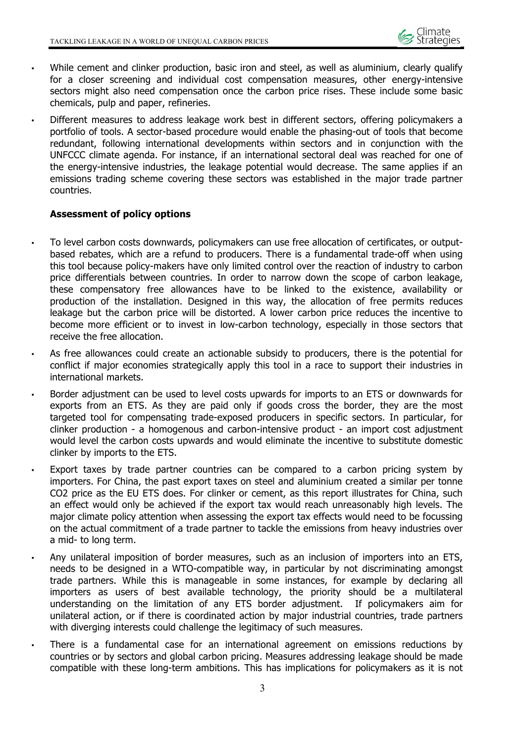

- While cement and clinker production, basic iron and steel, as well as aluminium, clearly qualify for a closer screening and individual cost compensation measures, other energy-intensive sectors might also need compensation once the carbon price rises. These include some basic chemicals, pulp and paper, refineries.
- Different measures to address leakage work best in different sectors, offering policymakers a portfolio of tools. A sector-based procedure would enable the phasing-out of tools that become redundant, following international developments within sectors and in conjunction with the UNFCCC climate agenda. For instance, if an international sectoral deal was reached for one of the energy-intensive industries, the leakage potential would decrease. The same applies if an emissions trading scheme covering these sectors was established in the major trade partner countries.

#### **Assessment of policy options**

- To level carbon costs downwards, policymakers can use free allocation of certificates, or outputbased rebates, which are a refund to producers. There is a fundamental trade-off when using this tool because policy-makers have only limited control over the reaction of industry to carbon price differentials between countries. In order to narrow down the scope of carbon leakage, these compensatory free allowances have to be linked to the existence, availability or production of the installation. Designed in this way, the allocation of free permits reduces leakage but the carbon price will be distorted. A lower carbon price reduces the incentive to become more efficient or to invest in low-carbon technology, especially in those sectors that receive the free allocation.
- As free allowances could create an actionable subsidy to producers, there is the potential for conflict if major economies strategically apply this tool in a race to support their industries in international markets.
- Border adjustment can be used to level costs upwards for imports to an ETS or downwards for exports from an ETS. As they are paid only if goods cross the border, they are the most targeted tool for compensating trade-exposed producers in specific sectors. In particular, for clinker production - a homogenous and carbon-intensive product - an import cost adjustment would level the carbon costs upwards and would eliminate the incentive to substitute domestic clinker by imports to the ETS.
- Export taxes by trade partner countries can be compared to a carbon pricing system by importers. For China, the past export taxes on steel and aluminium created a similar per tonne CO2 price as the EU ETS does. For clinker or cement, as this report illustrates for China, such an effect would only be achieved if the export tax would reach unreasonably high levels. The major climate policy attention when assessing the export tax effects would need to be focussing on the actual commitment of a trade partner to tackle the emissions from heavy industries over a mid- to long term.
- Any unilateral imposition of border measures, such as an inclusion of importers into an ETS, needs to be designed in a WTO-compatible way, in particular by not discriminating amongst trade partners. While this is manageable in some instances, for example by declaring all importers as users of best available technology, the priority should be a multilateral understanding on the limitation of any ETS border adjustment. If policymakers aim for unilateral action, or if there is coordinated action by major industrial countries, trade partners with diverging interests could challenge the legitimacy of such measures.
- There is a fundamental case for an international agreement on emissions reductions by countries or by sectors and global carbon pricing. Measures addressing leakage should be made compatible with these long-term ambitions. This has implications for policymakers as it is not